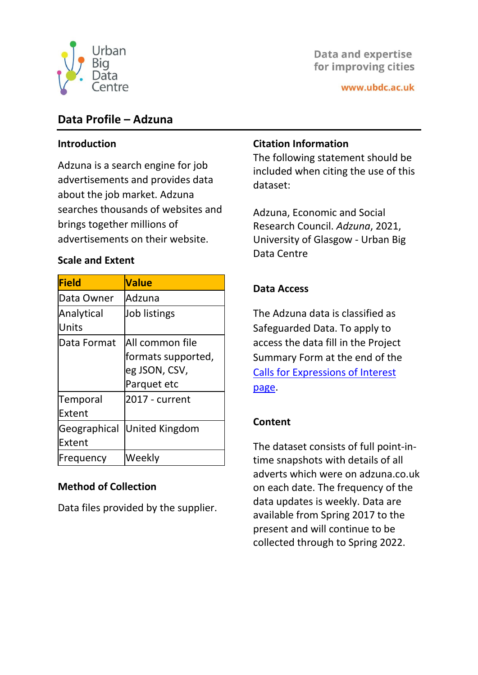

# **Data and expertise** for improving cities

# **Data Profile – Adzuna**

#### **Introduction**

Adzuna is a search engine for job advertisements and provides data about the job market. Adzuna searches thousands of websites and brings together millions of advertisements on their website.

#### **Scale and Extent**

| <b>Field</b>        | <b>Value</b>       |
|---------------------|--------------------|
| Data Owner          | Adzuna             |
| Analytical<br>Units | Job listings       |
| Data Format         | All common file    |
|                     | formats supported, |
|                     | eg JSON, CSV,      |
|                     | Parquet etc        |
| <b>Temporal</b>     | 2017 - current     |
| Extent              |                    |
| Geographical        | United Kingdom     |
| Extent              |                    |
| Frequency           | Weekly             |

### **Method of Collection**

Data files provided by the supplier.

## **Citation Information**

The following statement should be included when citing the use of this dataset:

Adzuna, Economic and Social Research Council. *Adzuna*, 2021, University of Glasgow - Urban Big Data Centre

# **Data Access**

The Adzuna data is classified as Safeguarded Data. To apply to access the data fill in the Project Summary Form at the end of the [Calls for Expressions of Interest](https://ubdc.ac.uk/data-services/data-services/call-for-expressions-of-interest/)  [page.](https://ubdc.ac.uk/data-services/data-services/call-for-expressions-of-interest/)

### **Content**

The dataset consists of full point-intime snapshots with details of all adverts which were on adzuna.co.uk on each date. The frequency of the data updates is weekly. Data are available from Spring 2017 to the present and will continue to be collected through to Spring 2022.